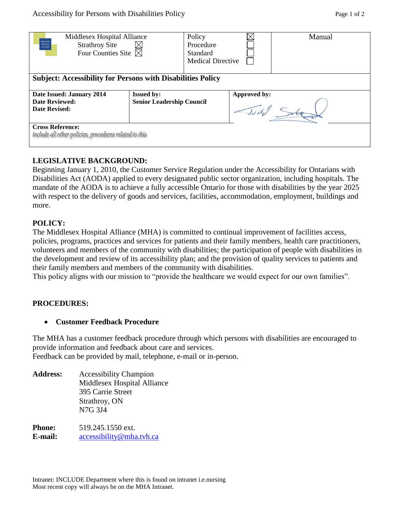| Middlesex Hospital Alliance<br><b>MIDDLESS</b><br><b>Strathroy Site</b><br><b>HOSPITAL</b><br><b>ALLIANCE</b><br>Four Counties Site $\boxtimes$ |                                                       | Policy<br>Procedure<br>Standard<br><b>Medical Directive</b> |              | Manual |
|-------------------------------------------------------------------------------------------------------------------------------------------------|-------------------------------------------------------|-------------------------------------------------------------|--------------|--------|
| <b>Subject: Accessibility for Persons with Disabilities Policy</b>                                                                              |                                                       |                                                             |              |        |
| Date Issued: January 2014<br>Date Reviewed:<br><b>Date Revised:</b>                                                                             | <b>Issued by:</b><br><b>Senior Leadership Council</b> |                                                             | Approved by: |        |
| <b>Cross Reference:</b><br>include alliother policies, procedures related to this                                                               |                                                       |                                                             |              |        |

# **LEGISLATIVE BACKGROUND:**

Beginning January 1, 2010, the Customer Service Regulation under the Accessibility for Ontarians with Disabilities Act (AODA) applied to every designated public sector organization, including hospitals. The mandate of the AODA is to achieve a fully accessible Ontario for those with disabilities by the year 2025 with respect to the delivery of goods and services, facilities, accommodation, employment, buildings and more.

# **POLICY:**

The Middlesex Hospital Alliance (MHA) is committed to continual improvement of facilities access, policies, programs, practices and services for patients and their family members, health care practitioners, volunteers and members of the community with disabilities; the participation of people with disabilities in the development and review of its accessibility plan; and the provision of quality services to patients and their family members and members of the community with disabilities.

This policy aligns with our mission to "provide the healthcare we would expect for our own families".

# **PROCEDURES:**

# **Customer Feedback Procedure**

The MHA has a customer feedback procedure through which persons with disabilities are encouraged to provide information and feedback about care and services. Feedback can be provided by mail, telephone, e-mail or in-person.

**Address:** Accessibility Champion Middlesex Hospital Alliance 395 Carrie Street Strathroy, ON N7G 3J4 **Phone:** 519.245.1550 ext.

**E-mail:** [accessibility@mha.tvh.ca](mailto:accessibility@mha.tvh.ca)